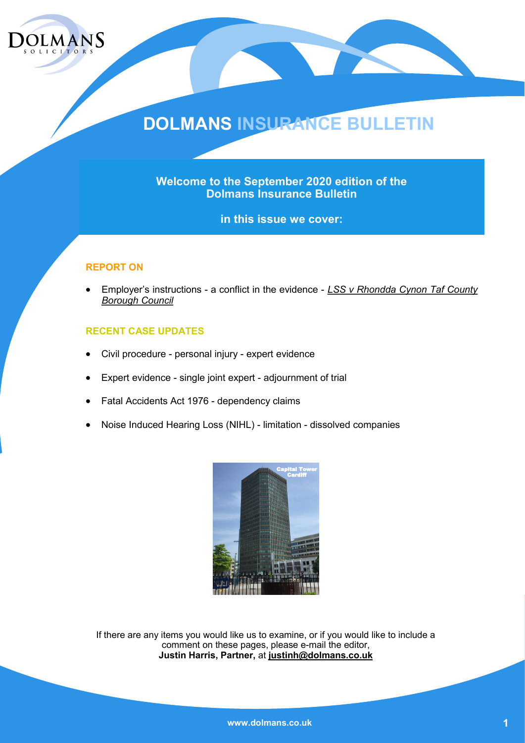

## **DOLMANS INSURANCE BULLETIN**

**Welcome to the September 2020 edition of the Dolmans Insurance Bulletin** 

**in this issue we cover:**

#### **REPORT ON**

• Employer's instructions - a conflict in the evidence - *LSS v Rhondda Cynon Taf County Borough Council*

#### **RECENT CASE UPDATES**

- Civil procedure personal injury expert evidence
- Expert evidence single joint expert adjournment of trial
- Fatal Accidents Act 1976 dependency claims
- Noise Induced Hearing Loss (NIHL) limitation dissolved companies



If there are any items you would like us to examine, or if you would like to include a comment on these pages, please e-mail the editor, **Justin Harris, Partner,** at **justinh@dolmans.co.uk**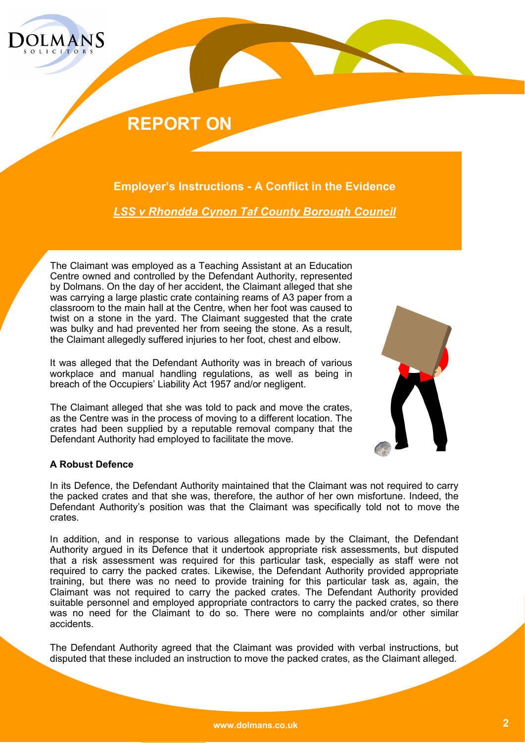

### **REPORT ON**

**Employer's Instructions - A Conflict in the Evidence**

*LSS v Rhondda Cynon Taf County Borough Council*

The Claimant was employed as a Teaching Assistant at an Education Centre owned and controlled by the Defendant Authority, represented by Dolmans. On the day of her accident, the Claimant alleged that she was carrying a large plastic crate containing reams of A3 paper from a classroom to the main hall at the Centre, when her foot was caused to twist on a stone in the yard. The Claimant suggested that the crate was bulky and had prevented her from seeing the stone. As a result, the Claimant allegedly suffered injuries to her foot, chest and elbow.

It was alleged that the Defendant Authority was in breach of various workplace and manual handling regulations, as well as being in breach of the Occupiers' Liability Act 1957 and/or negligent.

The Claimant alleged that she was told to pack and move the crates, as the Centre was in the process of moving to a different location. The crates had been supplied by a reputable removal company that the Defendant Authority had employed to facilitate the move.



#### **A Robust Defence**

In its Defence, the Defendant Authority maintained that the Claimant was not required to carry the packed crates and that she was, therefore, the author of her own misfortune. Indeed, the Defendant Authority's position was that the Claimant was specifically told not to move the crates.

In addition, and in response to various allegations made by the Claimant, the Defendant Authority argued in its Defence that it undertook appropriate risk assessments, but disputed that a risk assessment was required for this particular task, especially as staff were not required to carry the packed crates. Likewise, the Defendant Authority provided appropriate training, but there was no need to provide training for this particular task as, again, the Claimant was not required to carry the packed crates. The Defendant Authority provided suitable personnel and employed appropriate contractors to carry the packed crates, so there was no need for the Claimant to do so. There were no complaints and/or other similar accidents.

The Defendant Authority agreed that the Claimant was provided with verbal instructions, but disputed that these included an instruction to move the packed crates, as the Claimant alleged.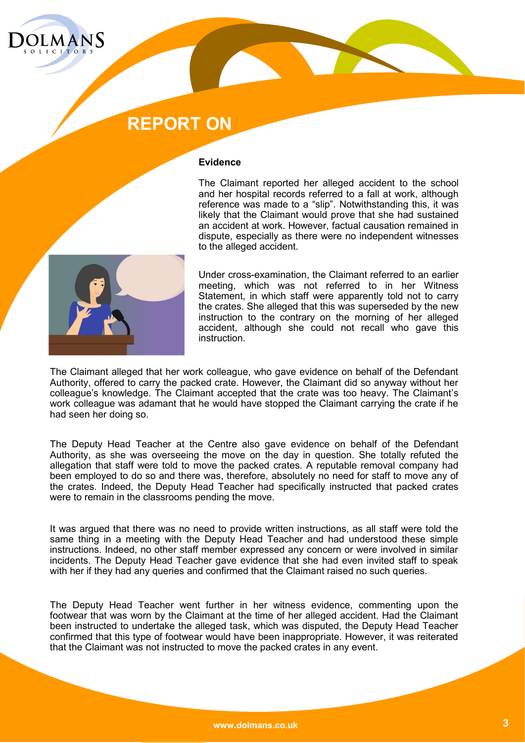

### **REPORT ON**

#### **Evidence**

The Claimant reported her alleged accident to the school and her hospital records referred to a fall at work, although reference was made to a "slip". Notwithstanding this, it was likely that the Claimant would prove that she had sustained an accident at work. However, factual causation remained in dispute, especially as there were no independent witnesses to the alleged accident.



Under cross-examination, the Claimant referred to an earlier meeting, which was not referred to in her Witness Statement, in which staff were apparently told not to carry the crates. She alleged that this was superseded by the new instruction to the contrary on the morning of her alleged accident, although she could not recall who gave this instruction.

The Claimant alleged that her work colleague, who gave evidence on behalf of the Defendant Authority, offered to carry the packed crate. However, the Claimant did so anyway without her colleague's knowledge. The Claimant accepted that the crate was too heavy. The Claimant's work colleague was adamant that he would have stopped the Claimant carrying the crate if he had seen her doing so.

The Deputy Head Teacher at the Centre also gave evidence on behalf of the Defendant Authority, as she was overseeing the move on the day in question. She totally refuted the allegation that staff were told to move the packed crates. A reputable removal company had been employed to do so and there was, therefore, absolutely no need for staff to move any of the crates. Indeed, the Deputy Head Teacher had specifically instructed that packed crates were to remain in the classrooms pending the move.

It was argued that there was no need to provide written instructions, as all staff were told the same thing in a meeting with the Deputy Head Teacher and had understood these simple instructions. Indeed, no other staff member expressed any concern or were involved in similar incidents. The Deputy Head Teacher gave evidence that she had even invited staff to speak with her if they had any queries and confirmed that the Claimant raised no such queries.

The Deputy Head Teacher went further in her witness evidence, commenting upon the footwear that was worn by the Claimant at the time of her alleged accident. Had the Claimant been instructed to undertake the alleged task, which was disputed, the Deputy Head Teacher confirmed that this type of footwear would have been inappropriate. However, it was reiterated that the Claimant was not instructed to move the packed crates in any event.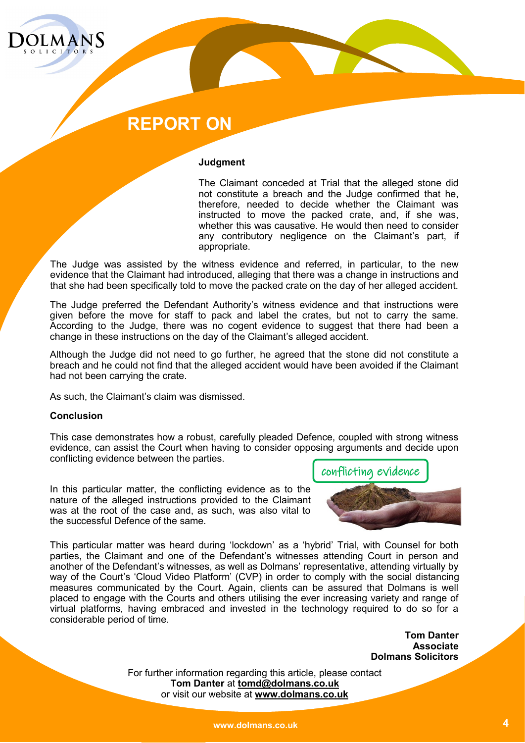

### **REPORT ON**

#### **Judgment**

The Claimant conceded at Trial that the alleged stone did not constitute a breach and the Judge confirmed that he, therefore, needed to decide whether the Claimant was instructed to move the packed crate, and, if she was, whether this was causative. He would then need to consider any contributory negligence on the Claimant's part, if appropriate.

The Judge was assisted by the witness evidence and referred, in particular, to the new evidence that the Claimant had introduced, alleging that there was a change in instructions and that she had been specifically told to move the packed crate on the day of her alleged accident.

The Judge preferred the Defendant Authority's witness evidence and that instructions were given before the move for staff to pack and label the crates, but not to carry the same. According to the Judge, there was no cogent evidence to suggest that there had been a change in these instructions on the day of the Claimant's alleged accident.

Although the Judge did not need to go further, he agreed that the stone did not constitute a breach and he could not find that the alleged accident would have been avoided if the Claimant had not been carrying the crate.

As such, the Claimant's claim was dismissed.

#### **Conclusion**

This case demonstrates how a robust, carefully pleaded Defence, coupled with strong witness evidence, can assist the Court when having to consider opposing arguments and decide upon conflicting evidence between the parties.

In this particular matter, the conflicting evidence as to the nature of the alleged instructions provided to the Claimant was at the root of the case and, as such, was also vital to the successful Defence of the same.



This particular matter was heard during 'lockdown' as a 'hybrid' Trial, with Counsel for both parties, the Claimant and one of the Defendant's witnesses attending Court in person and another of the Defendant's witnesses, as well as Dolmans' representative, attending virtually by way of the Court's 'Cloud Video Platform' (CVP) in order to comply with the social distancing measures communicated by the Court. Again, clients can be assured that Dolmans is well placed to engage with the Courts and others utilising the ever increasing variety and range of virtual platforms, having embraced and invested in the technology required to do so for a considerable period of time.

> **Tom Danter Associate Dolmans Solicitors**

For further information regarding this article, please contact **Tom Danter** at **tomd@dolmans.co.uk** or visit our website at **www.dolmans.co.uk**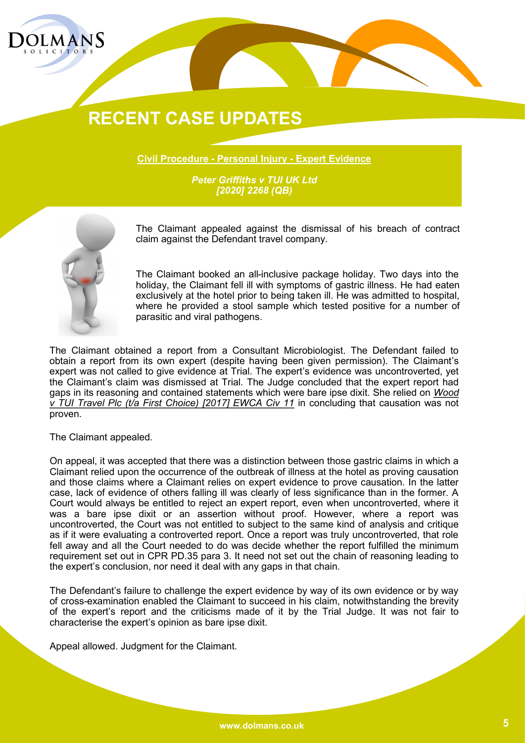

**Civil Procedure - Personal Injury - Expert Evidence**

*Peter Griffiths v TUI UK Ltd [2020] 2268 (QB)*



The Claimant appealed against the dismissal of his breach of contract claim against the Defendant travel company.

The Claimant booked an all-inclusive package holiday. Two days into the holiday, the Claimant fell ill with symptoms of gastric illness. He had eaten exclusively at the hotel prior to being taken ill. He was admitted to hospital, where he provided a stool sample which tested positive for a number of parasitic and viral pathogens.

The Claimant obtained a report from a Consultant Microbiologist. The Defendant failed to obtain a report from its own expert (despite having been given permission). The Claimant's expert was not called to give evidence at Trial. The expert's evidence was uncontroverted, yet the Claimant's claim was dismissed at Trial. The Judge concluded that the expert report had gaps in its reasoning and contained statements which were bare ipse dixit. She relied on *Wood v TUI Travel Plc (t/a First Choice) [2017] EWCA Civ 11* in concluding that causation was not proven.

The Claimant appealed.

On appeal, it was accepted that there was a distinction between those gastric claims in which a Claimant relied upon the occurrence of the outbreak of illness at the hotel as proving causation and those claims where a Claimant relies on expert evidence to prove causation. In the latter case, lack of evidence of others falling ill was clearly of less significance than in the former. A Court would always be entitled to reject an expert report, even when uncontroverted, where it was a bare ipse dixit or an assertion without proof. However, where a report was uncontroverted, the Court was not entitled to subject to the same kind of analysis and critique as if it were evaluating a controverted report. Once a report was truly uncontroverted, that role fell away and all the Court needed to do was decide whether the report fulfilled the minimum requirement set out in CPR PD.35 para 3. It need not set out the chain of reasoning leading to the expert's conclusion, nor need it deal with any gaps in that chain.

The Defendant's failure to challenge the expert evidence by way of its own evidence or by way of cross-examination enabled the Claimant to succeed in his claim, notwithstanding the brevity of the expert's report and the criticisms made of it by the Trial Judge. It was not fair to characterise the expert's opinion as bare ipse dixit.

Appeal allowed. Judgment for the Claimant.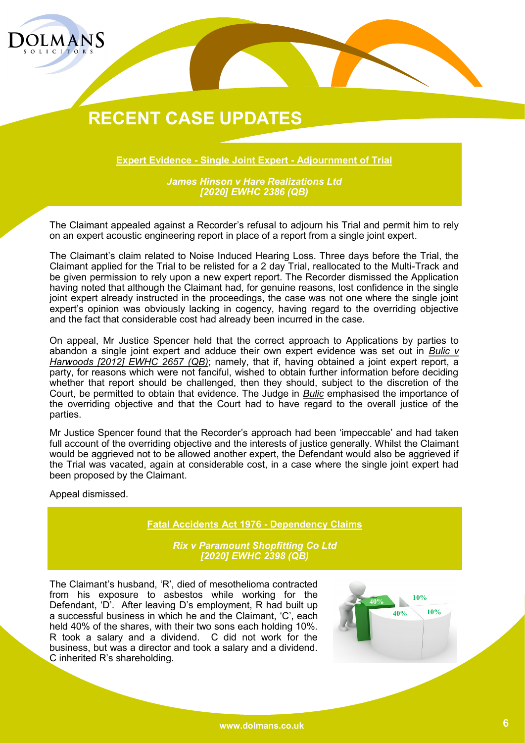

**Expert Evidence - Single Joint Expert - Adjournment of Trial**

*James Hinson v Hare Realizations Ltd [2020] EWHC 2386 (QB)*

The Claimant appealed against a Recorder's refusal to adjourn his Trial and permit him to rely on an expert acoustic engineering report in place of a report from a single joint expert.

The Claimant's claim related to Noise Induced Hearing Loss. Three days before the Trial, the Claimant applied for the Trial to be relisted for a 2 day Trial, reallocated to the Multi-Track and be given permission to rely upon a new expert report. The Recorder dismissed the Application having noted that although the Claimant had, for genuine reasons, lost confidence in the single joint expert already instructed in the proceedings, the case was not one where the single joint expert's opinion was obviously lacking in cogency, having regard to the overriding objective and the fact that considerable cost had already been incurred in the case.

On appeal, Mr Justice Spencer held that the correct approach to Applications by parties to abandon a single joint expert and adduce their own expert evidence was set out in *Bulic v Harwoods [2012] EWHC 2657 (QB)*; namely, that if, having obtained a joint expert report, a party, for reasons which were not fanciful, wished to obtain further information before deciding whether that report should be challenged, then they should, subject to the discretion of the Court, be permitted to obtain that evidence. The Judge in *Bulic* emphasised the importance of the overriding objective and that the Court had to have regard to the overall justice of the parties.

Mr Justice Spencer found that the Recorder's approach had been 'impeccable' and had taken full account of the overriding objective and the interests of justice generally. Whilst the Claimant would be aggrieved not to be allowed another expert, the Defendant would also be aggrieved if the Trial was vacated, again at considerable cost, in a case where the single joint expert had been proposed by the Claimant.

Appeal dismissed.

**Fatal Accidents Act 1976 - Dependency Claims**

*Rix v Paramount Shopfitting Co Ltd [2020] EWHC 2398 (QB)*

The Claimant's husband, 'R', died of mesothelioma contracted from his exposure to asbestos while working for the Defendant, 'D'. After leaving D's employment, R had built up a successful business in which he and the Claimant, 'C', each held 40% of the shares, with their two sons each holding 10%. R took a salary and a dividend. C did not work for the business, but was a director and took a salary and a dividend. C inherited R's shareholding.

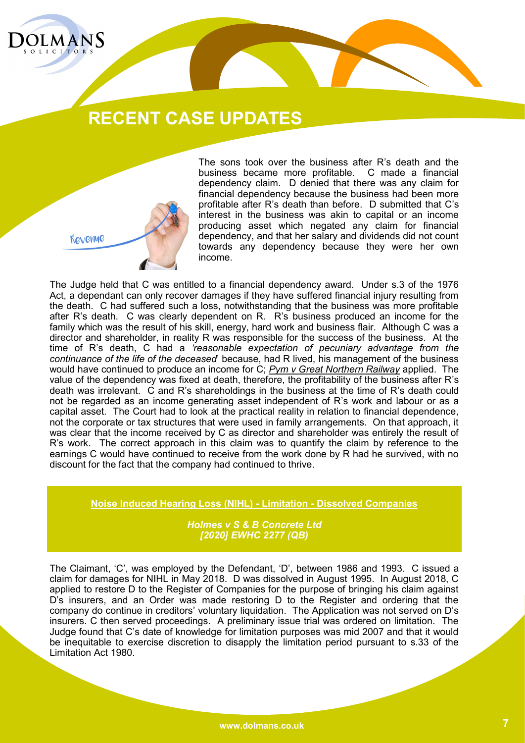



The sons took over the business after R's death and the business became more profitable. C made a financial dependency claim. D denied that there was any claim for financial dependency because the business had been more profitable after R's death than before. D submitted that C's interest in the business was akin to capital or an income producing asset which negated any claim for financial dependency, and that her salary and dividends did not count towards any dependency because they were her own income.

The Judge held that C was entitled to a financial dependency award. Under s.3 of the 1976 Act, a dependant can only recover damages if they have suffered financial injury resulting from the death. C had suffered such a loss, notwithstanding that the business was more profitable after R's death. C was clearly dependent on R. R's business produced an income for the family which was the result of his skill, energy, hard work and business flair. Although C was a director and shareholder, in reality R was responsible for the success of the business. At the time of R's death, C had a *'reasonable expectation of pecuniary advantage from the continuance of the life of the deceased*' because, had R lived, his management of the business would have continued to produce an income for C; *Pym v Great Northern Railway* applied. The value of the dependency was fixed at death, therefore, the profitability of the business after R's death was irrelevant. C and R's shareholdings in the business at the time of R's death could not be regarded as an income generating asset independent of R's work and labour or as a capital asset. The Court had to look at the practical reality in relation to financial dependence, not the corporate or tax structures that were used in family arrangements. On that approach, it was clear that the income received by C as director and shareholder was entirely the result of R's work. The correct approach in this claim was to quantify the claim by reference to the earnings C would have continued to receive from the work done by R had he survived, with no discount for the fact that the company had continued to thrive.

**Noise Induced Hearing Loss (NIHL) - Limitation - Dissolved Companies**

*Holmes v S & B Concrete Ltd [2020] EWHC 2277 (QB)*

The Claimant, 'C', was employed by the Defendant, 'D', between 1986 and 1993. C issued a claim for damages for NIHL in May 2018. D was dissolved in August 1995. In August 2018, C applied to restore D to the Register of Companies for the purpose of bringing his claim against D's insurers, and an Order was made restoring D to the Register and ordering that the company do continue in creditors' voluntary liquidation. The Application was not served on D's insurers. C then served proceedings. A preliminary issue trial was ordered on limitation. The Judge found that C's date of knowledge for limitation purposes was mid 2007 and that it would be inequitable to exercise discretion to disapply the limitation period pursuant to s.33 of the Limitation Act 1980.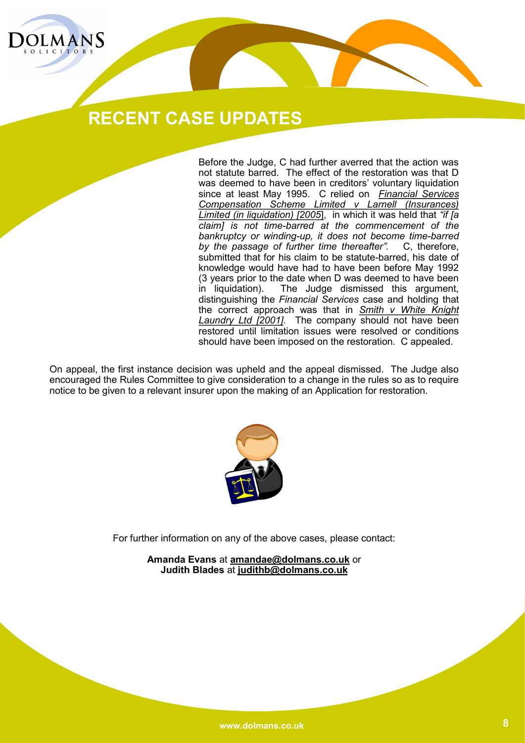

Before the Judge, C had further averred that the action was not statute barred. The effect of the restoration was that D was deemed to have been in creditors' voluntary liquidation since at least May 1995. C relied on *Financial Services Compensation Scheme Limited v Larnell (Insurances) Limited (in liquidation) [2005*], in which it was held that *"if [a claim] is not time-barred at the commencement of the bankruptcy or winding-up, it does not become time-barred by the passage of further time thereafter".* C, therefore, submitted that for his claim to be statute-barred, his date of knowledge would have had to have been before May 1992 (3 years prior to the date when D was deemed to have been in liquidation). The Judge dismissed this argument, distinguishing the *Financial Services* case and holding that the correct approach was that in *Smith v White Knight Laundry Ltd [2001]*. The company should not have been restored until limitation issues were resolved or conditions should have been imposed on the restoration. C appealed.

On appeal, the first instance decision was upheld and the appeal dismissed. The Judge also encouraged the Rules Committee to give consideration to a change in the rules so as to require notice to be given to a relevant insurer upon the making of an Application for restoration.



For further information on any of the above cases, please contact:

**Amanda Evans** at **amandae@dolmans.co.uk** or **Judith Blades** at **judithb@dolmans.co.uk**